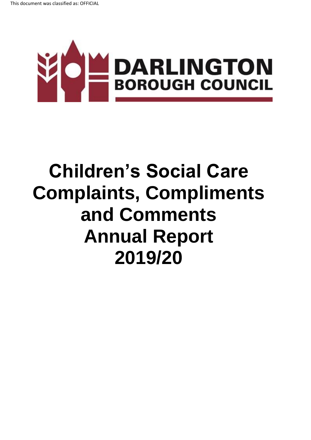

# **Children's Social Care Complaints, Compliments and Comments Annual Report 2019/20**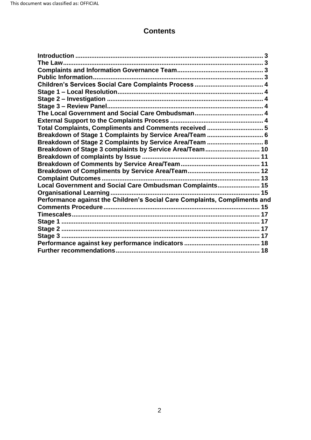# **Contents**

| Total Complaints, Compliments and Comments received  5                     |  |
|----------------------------------------------------------------------------|--|
| Breakdown of Stage 1 Complaints by Service Area/Team  6                    |  |
| Breakdown of Stage 2 Complaints by Service Area/Team  8                    |  |
| Breakdown of Stage 3 complaints by Service Area/Team 10                    |  |
|                                                                            |  |
|                                                                            |  |
|                                                                            |  |
|                                                                            |  |
| Local Government and Social Care Ombudsman Complaints 15                   |  |
|                                                                            |  |
| Performance against the Children's Social Care Complaints, Compliments and |  |
|                                                                            |  |
|                                                                            |  |
|                                                                            |  |
|                                                                            |  |
|                                                                            |  |
|                                                                            |  |
|                                                                            |  |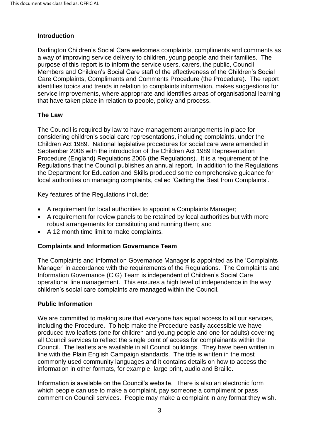#### <span id="page-2-0"></span>**Introduction**

 a way of improving service delivery to children, young people and their families. The purpose of this report is to inform the service users, carers, the public, Council Care Complaints, Compliments and Comments Procedure (the Procedure). The report Darlington Children's Social Care welcomes complaints, compliments and comments as Members and Children's Social Care staff of the effectiveness of the Children's Social identifies topics and trends in relation to complaints information, makes suggestions for service improvements, where appropriate and identifies areas of organisational learning that have taken place in relation to people, policy and process.

#### <span id="page-2-1"></span>**The Law**

 Procedure (England) Regulations 2006 (the Regulations). It is a requirement of the The Council is required by law to have management arrangements in place for considering children's social care representations, including complaints, under the Children Act 1989. National legislative procedures for social care were amended in September 2006 with the introduction of the Children Act 1989 Representation Regulations that the Council publishes an annual report. In addition to the Regulations the Department for Education and Skills produced some comprehensive guidance for local authorities on managing complaints, called 'Getting the Best from Complaints'.

Key features of the Regulations include:

- A requirement for local authorities to appoint a Complaints Manager;
- A requirement for review panels to be retained by local authorities but with more robust arrangements for constituting and running them; and
- A 12 month time limit to make complaints.

#### <span id="page-2-2"></span>**Complaints and Information Governance Team**

 Manager' in accordance with the requirements of the Regulations. The Complaints and The Complaints and Information Governance Manager is appointed as the 'Complaints Information Governance (CIG) Team is independent of Children's Social Care operational line management. This ensures a high level of independence in the way children's social care complaints are managed within the Council.

#### <span id="page-2-3"></span>**Public Information**

 including the Procedure. To help make the Procedure easily accessible we have information in other formats, for example, large print, audio and Braille. We are committed to making sure that everyone has equal access to all our services, produced two leaflets (one for children and young people and one for adults) covering all Council services to reflect the single point of access for complainants within the Council. The leaflets are available in all Council buildings. They have been written in line with the Plain English Campaign standards. The title is written in the most commonly used community languages and it contains details on how to access the

 which people can use to make a complaint, pay someone a compliment or pass Information is available on the Council's website. There is also an electronic form comment on Council services. People may make a complaint in any format they wish.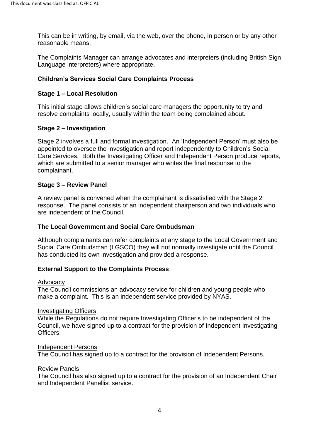This can be in writing, by email, via the web, over the phone, in person or by any other reasonable means.

The Complaints Manager can arrange advocates and interpreters (including British Sign Language interpreters) where appropriate.

## <span id="page-3-0"></span> **Children's Services Social Care Complaints Process**

#### <span id="page-3-1"></span>**Stage 1 – Local Resolution**

 This initial stage allows children's social care managers the opportunity to try and resolve complaints locally, usually within the team being complained about.

#### <span id="page-3-2"></span>**Stage 2 – Investigation**

 which are submitted to a senior manager who writes the final response to the Stage 2 involves a full and formal investigation. An 'Independent Person' must also be appointed to oversee the investigation and report independently to Children's Social Care Services. Both the Investigating Officer and Independent Person produce reports, complainant.

#### <span id="page-3-3"></span>**Stage 3 – Review Panel**

 response. The panel consists of an independent chairperson and two individuals who A review panel is convened when the complainant is dissatisfied with the Stage 2 are independent of the Council.

#### <span id="page-3-4"></span>**The Local Government and Social Care Ombudsman**

Although complainants can refer complaints at any stage to the Local Government and Social Care Ombudsman (LGSCO) they will not normally investigate until the Council has conducted its own investigation and provided a response.

#### <span id="page-3-5"></span>**External Support to the Complaints Process**

#### Advocacy

 make a complaint. This is an independent service provided by NYAS. The Council commissions an advocacy service for children and young people who

#### Investigating Officers

 Council, we have signed up to a contract for the provision of Independent Investigating While the Regulations do not require Investigating Officer's to be independent of the Officers.

#### Independent Persons

The Council has signed up to a contract for the provision of Independent Persons.

#### Review Panels

 The Council has also signed up to a contract for the provision of an Independent Chair and Independent Panellist service.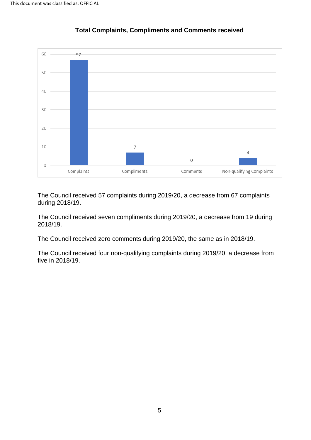<span id="page-4-0"></span>

#### **Total Complaints, Compliments and Comments received**

The Council received 57 complaints during 2019/20, a decrease from 67 complaints during 2018/19.

2018/19. The Council received seven compliments during 2019/20, a decrease from 19 during

2018/19. The Council received zero comments during 2019/20, the same as in 2018/19.

The Council received four non-qualifying complaints during 2019/20, a decrease from five in 2018/19.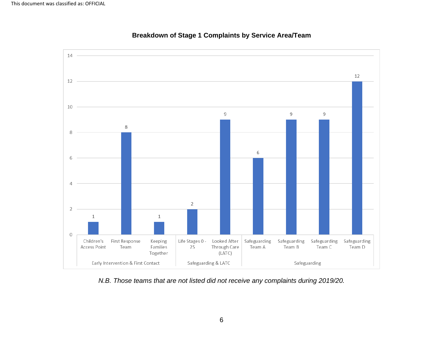<span id="page-5-0"></span>

#### **Breakdown of Stage 1 Complaints by Service Area/Team**

*N.B. Those teams that are not listed did not receive any complaints during 2019/20.*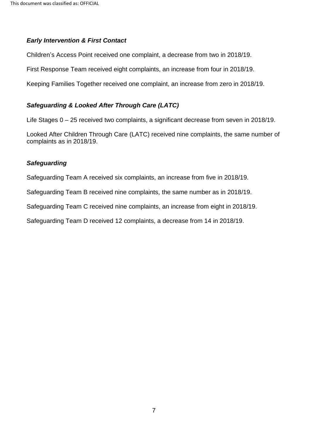#### *Early Intervention & First Contact*

Children's Access Point received one complaint, a decrease from two in 2018/19.

First Response Team received eight complaints, an increase from four in 2018/19.

Keeping Families Together received one complaint, an increase from zero in 2018/19.

#### *Safeguarding & Looked After Through Care (LATC)*

Life Stages 0 – 25 received two complaints, a significant decrease from seven in 2018/19.

 Looked After Children Through Care (LATC) received nine complaints, the same number of complaints as in 2018/19.

#### *Safeguarding*

Safeguarding Team A received six complaints, an increase from five in 2018/19.

Safeguarding Team B received nine complaints, the same number as in 2018/19.

Safeguarding Team C received nine complaints, an increase from eight in 2018/19.

Safeguarding Team D received 12 complaints, a decrease from 14 in 2018/19.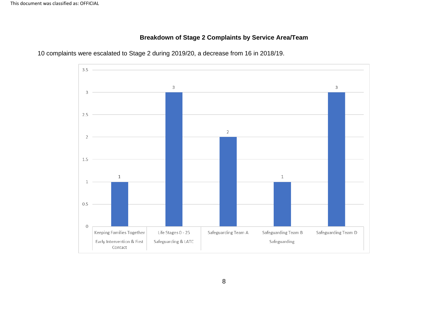# **Breakdown of Stage 2 Complaints by Service Area/Team**

<span id="page-7-0"></span>

10 complaints were escalated to Stage 2 during 2019/20, a decrease from 16 in 2018/19.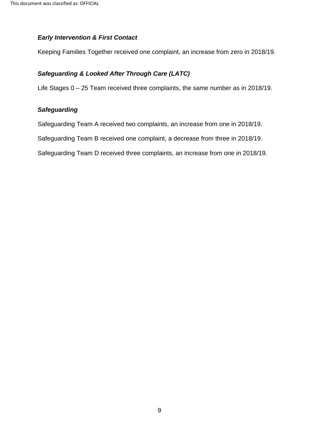#### *Early Intervention & First Contact*

Keeping Families Together received one complaint, an increase from zero in 2018/19.

## *Safeguarding & Looked After Through Care (LATC)*

Life Stages 0 – 25 Team received three complaints, the same number as in 2018/19.

#### *Safeguarding*

Safeguarding Team A received two complaints, an increase from one in 2018/19.

Safeguarding Team B received one complaint, a decrease from three in 2018/19.

Safeguarding Team D received three complaints, an increase from one in 2018/19.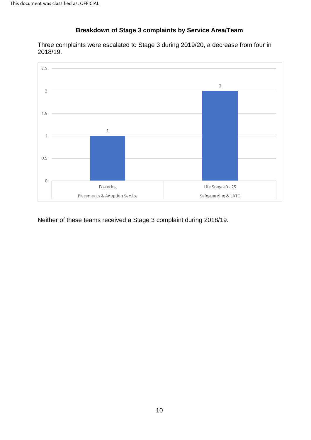# **Breakdown of Stage 3 complaints by Service Area/Team**

<span id="page-9-0"></span> Three complaints were escalated to Stage 3 during 2019/20, a decrease from four in 2018/19.



Neither of these teams received a Stage 3 complaint during 2018/19.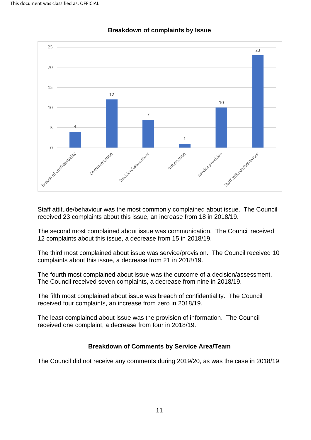<span id="page-10-0"></span>

#### **Breakdown of complaints by Issue**

 received 23 complaints about this issue, an increase from 18 in 2018/19. Staff attitude/behaviour was the most commonly complained about issue. The Council

 12 complaints about this issue, a decrease from 15 in 2018/19. The second most complained about issue was communication. The Council received

 The third most complained about issue was service/provision. The Council received 10 complaints about this issue, a decrease from 21 in 2018/19.

The fourth most complained about issue was the outcome of a decision/assessment.<br>The Council received seven complaints, a decrease from nine in 2018/19.

The fifth most complained about issue was breach of confidentiality. The Council received four complaints, an increase from zero in 2018/19.

 The least complained about issue was the provision of information. The Council received one complaint, a decrease from four in 2018/19.

#### **Breakdown of Comments by Service Area/Team**

<span id="page-10-1"></span>The Council did not receive any comments during 2019/20, as was the case in 2018/19.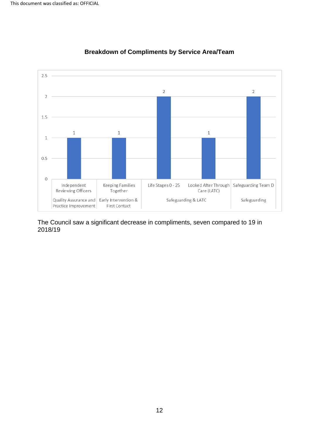<span id="page-11-0"></span>

# **Breakdown of Compliments by Service Area/Team**

 The Council saw a significant decrease in compliments, seven compared to 19 in 2018/19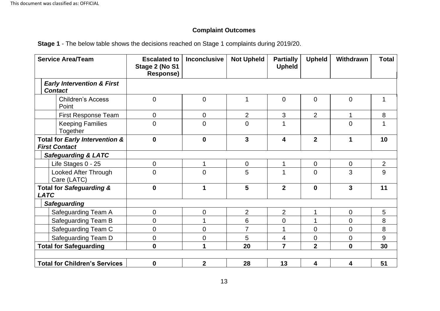# **Complaint Outcomes**

**Stage 1** - The below table shows the decisions reached on Stage 1 complaints during 2019/20.

<span id="page-12-0"></span>

| <b>Service Area/Team</b>                                | <b>Escalated to</b><br>Stage 2 (No S1<br>Response) | <b>Inconclusive</b> | <b>Not Upheld</b> | <b>Partially</b><br><b>Upheld</b> | <b>Upheld</b>  | <b>Withdrawn</b> | <b>Total</b>   |
|---------------------------------------------------------|----------------------------------------------------|---------------------|-------------------|-----------------------------------|----------------|------------------|----------------|
| <b>Early Intervention &amp; First</b><br><b>Contact</b> |                                                    |                     |                   |                                   |                |                  |                |
| <b>Children's Access</b><br>Point                       | $\mathbf 0$                                        | $\mathbf 0$         | 1                 | $\mathbf 0$                       | $\overline{0}$ | $\mathbf 0$      | 1              |
| <b>First Response Team</b>                              | 0                                                  | 0                   | $\overline{2}$    | 3                                 | $\overline{2}$ |                  | 8              |
| <b>Keeping Families</b><br>Together                     | $\overline{0}$                                     | $\overline{0}$      | $\overline{0}$    | 1                                 |                | $\overline{0}$   |                |
| Total for Early Intervention &<br><b>First Contact</b>  | $\mathbf 0$                                        | $\mathbf 0$         | $\overline{3}$    | 4                                 | $\overline{2}$ | 1                | 10             |
| <b>Safeguarding &amp; LATC</b>                          |                                                    |                     |                   |                                   |                |                  |                |
| Life Stages 0 - 25                                      | 0                                                  |                     | $\overline{0}$    | $\mathbf 1$                       | $\mathbf 0$    | $\overline{0}$   | $\overline{2}$ |
| Looked After Through<br>Care (LATC)                     | $\overline{0}$                                     | $\overline{0}$      | 5                 | 1                                 | $\overline{0}$ | 3                | 9              |
| <b>Total for Safeguarding &amp;</b><br><b>LATC</b>      | $\mathbf 0$                                        | 1                   | 5                 | $\overline{2}$                    | $\mathbf 0$    | $\overline{3}$   | 11             |
| <b>Safeguarding</b>                                     |                                                    |                     |                   |                                   |                |                  |                |
| Safeguarding Team A                                     | 0                                                  | $\overline{0}$      | $\overline{2}$    | $\overline{2}$                    | 1              | $\overline{0}$   | 5              |
| Safeguarding Team B                                     | 0                                                  |                     | 6                 | $\overline{0}$                    | 1              | $\overline{0}$   | 8              |
| Safeguarding Team C                                     | 0                                                  | 0                   | $\overline{7}$    |                                   | $\overline{0}$ | $\overline{0}$   | 8              |
| Safeguarding Team D                                     | 0                                                  | $\overline{0}$      | 5                 | 4                                 | $\overline{0}$ | $\mathbf 0$      | 9              |
| <b>Total for Safeguarding</b>                           | $\bf{0}$                                           | 1                   | 20                | $\overline{7}$                    | $\overline{2}$ | $\mathbf 0$      | 30             |
| <b>Total for Children's Services</b>                    | $\boldsymbol{0}$                                   | $\mathbf{2}$        | 28                | 13                                | 4              | 4                | 51             |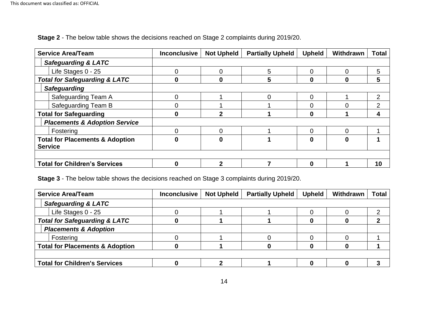| <b>Service Area/Team</b>                                     | <b>Inconclusive</b> | <b>Not Upheld</b> | <b>Partially Upheld</b> | <b>Upheld</b>  | <b>Withdrawn</b> | <b>Total</b> |
|--------------------------------------------------------------|---------------------|-------------------|-------------------------|----------------|------------------|--------------|
| <b>Safeguarding &amp; LATC</b>                               |                     |                   |                         |                |                  |              |
| Life Stages 0 - 25                                           |                     | 0                 | 5                       | 0              | 0                | 5            |
| <b>Total for Safeguarding &amp; LATC</b>                     |                     |                   | 5                       | 0              | 0                | 5            |
| <b>Safeguarding</b>                                          |                     |                   |                         |                |                  |              |
| Safeguarding Team A                                          |                     |                   |                         | $\overline{0}$ |                  | 2            |
| <b>Safeguarding Team B</b>                                   |                     |                   |                         | $\overline{0}$ |                  | っ            |
| <b>Total for Safeguarding</b>                                |                     |                   |                         | 0              |                  |              |
| <b>Placements &amp; Adoption Service</b>                     |                     |                   |                         |                |                  |              |
| Fostering                                                    |                     | ∩                 |                         | ∩              | 0                |              |
| <b>Total for Placements &amp; Adoption</b><br><b>Service</b> |                     |                   |                         | 0              | $\mathbf{0}$     |              |
| <b>Total for Children's Services</b>                         |                     | ◠                 |                         | 0              |                  | 10           |

**Stage 2** - The below table shows the decisions reached on Stage 2 complaints during 2019/20.

**Stage 3** - The below table shows the decisions reached on Stage 3 complaints during 2019/20.

| <b>Service Area/Team</b>                   | <b>Inconclusive</b> | <b>Not Upheld</b> | <b>Partially Upheld</b> | <b>Upheld</b> | Withdrawn | <b>Total</b> |
|--------------------------------------------|---------------------|-------------------|-------------------------|---------------|-----------|--------------|
| <b>Safeguarding &amp; LATC</b>             |                     |                   |                         |               |           |              |
| Life Stages 0 - 25                         |                     |                   |                         |               |           |              |
| <b>Total for Safeguarding &amp; LATC</b>   |                     |                   |                         |               |           |              |
| <b>Placements &amp; Adoption</b>           |                     |                   |                         |               |           |              |
| Fostering                                  |                     |                   |                         |               |           |              |
| <b>Total for Placements &amp; Adoption</b> |                     |                   |                         |               |           |              |
|                                            |                     |                   |                         |               |           |              |
| <b>Total for Children's Services</b>       |                     |                   |                         |               |           |              |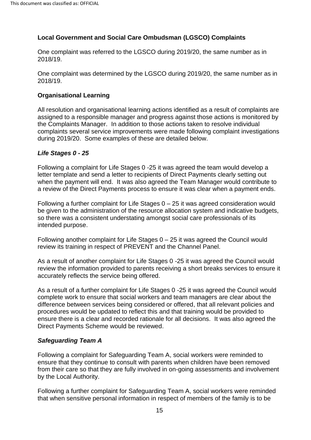# <span id="page-14-0"></span>**Local Government and Social Care Ombudsman (LGSCO) Complaints**

One complaint was referred to the LGSCO during 2019/20, the same number as in 2018/19.

 One complaint was determined by the LGSCO during 2019/20, the same number as in 2018/19.

#### <span id="page-14-1"></span>**Organisational Learning**

All resolution and organisational learning actions identified as a result of complaints are assigned to a responsible manager and progress against those actions is monitored by the Complaints Manager. In addition to those actions taken to resolve individual complaints several service improvements were made following complaint investigations during 2019/20. Some examples of these are detailed below.

#### <span id="page-14-2"></span>*Life Stages 0 - 25*

 Following a complaint for Life Stages 0 -25 it was agreed the team would develop a letter template and send a letter to recipients of Direct Payments clearly setting out when the payment will end. It was also agreed the Team Manager would contribute to a review of the Direct Payments process to ensure it was clear when a payment ends.

 Following a further complaint for Life Stages 0 – 25 it was agreed consideration would be given to the administration of the resource allocation system and indicative budgets, so there was a consistent understating amongst social care professionals of its intended purpose.

Following another complaint for Life Stages  $0 - 25$  it was agreed the Council would review its training in respect of PREVENT and the Channel Panel.

 review the information provided to parents receiving a short breaks services to ensure it As a result of another complaint for Life Stages 0 -25 it was agreed the Council would accurately reflects the service being offered.

 ensure there is a clear and recorded rationale for all decisions. It was also agreed the As a result of a further complaint for Life Stages 0 -25 it was agreed the Council would complete work to ensure that social workers and team managers are clear about the difference between services being considered or offered, that all relevant policies and procedures would be updated to reflect this and that training would be provided to Direct Payments Scheme would be reviewed.

#### *Safeguarding Team A*

Following a complaint for Safeguarding Team A, social workers were reminded to ensure that they continue to consult with parents when children have been removed from their care so that they are fully involved in on-going assessments and involvement by the Local Authority.

Following a further complaint for Safeguarding Team A, social workers were reminded that when sensitive personal information in respect of members of the family is to be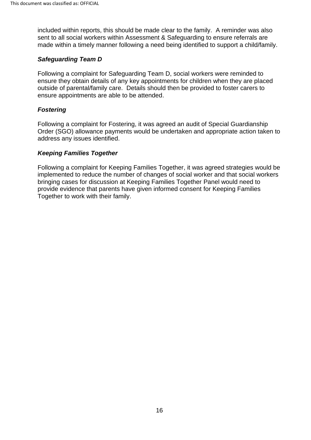included within reports, this should be made clear to the family. A reminder was also sent to all social workers within Assessment & Safeguarding to ensure referrals are made within a timely manner following a need being identified to support a child/family.

#### *Safeguarding Team D*

 outside of parental/family care. Details should then be provided to foster carers to ensure appointments are able to be attended. Following a complaint for Safeguarding Team D, social workers were reminded to ensure they obtain details of any key appointments for children when they are placed

## *Fostering*

 Following a complaint for Fostering, it was agreed an audit of Special Guardianship Order (SGO) allowance payments would be undertaken and appropriate action taken to address any issues identified.

#### *Keeping Families Together*

Following a complaint for Keeping Families Together, it was agreed strategies would be implemented to reduce the number of changes of social worker and that social workers bringing cases for discussion at Keeping Families Together Panel would need to provide evidence that parents have given informed consent for Keeping Families Together to work with their family.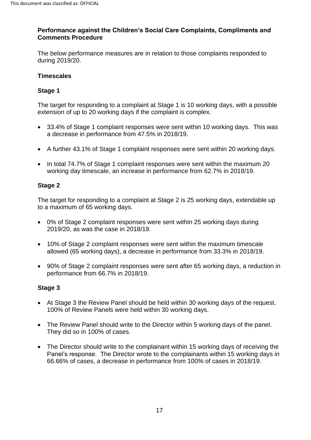#### **Performance against the Children's Social Care Complaints, Compliments and Comments Procedure**

The below performance measures are in relation to those complaints responded to during 2019/20.

#### <span id="page-16-0"></span>**Timescales**

# <span id="page-16-1"></span>**Stage 1**

 The target for responding to a complaint at Stage 1 is 10 working days, with a possible extension of up to 20 working days if the complaint is complex.

- a decrease in performance from 47.5% in 2018/19. • 33.4% of Stage 1 complaint responses were sent within 10 working days. This was
- A further 43.1% of Stage 1 complaint responses were sent within 20 working days.
- In total 74.7% of Stage 1 complaint responses were sent within the maximum 20 working day timescale, an increase in performance from 62.7% in 2018/19.

# <span id="page-16-2"></span>**Stage 2**

 to a maximum of 65 working days. The target for responding to a complaint at Stage 2 is 25 working days, extendable up

- • 0% of Stage 2 complaint responses were sent within 25 working days during 2019/20, as was the case in 2018/19.
- allowed (65 working days), a decrease in performance from 33.3% in 2018/19. • 10% of Stage 2 complaint responses were sent within the maximum timescale
- 90% of Stage 2 complaint responses were sent after 65 working days, a reduction in performance from 66.7% in 2018/19.

# <span id="page-16-3"></span>**Stage 3**

- At Stage 3 the Review Panel should be held within 30 working days of the request. 100% of Review Panels were held within 30 working days.
- The Review Panel should write to the Director within 5 working days of the panel. They did so in 100% of cases.
- The Director should write to the complainant within 15 working days of receiving the Panel's response. The Director wrote to the complainants within 15 working days in 66.66% of cases, a decrease in performance from 100% of cases in 2018/19.